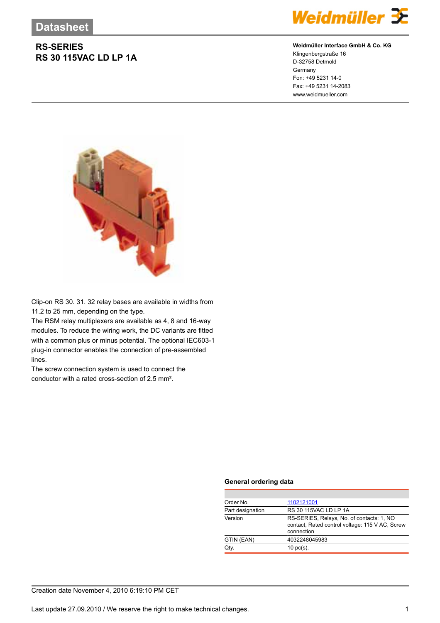## **RS-SERIES RS 30 115VAC LD LP 1A**



### **Weidmüller Interface GmbH & Co. KG**

Klingenbergstraße 16 D-32758 Detmold Germany Fon: +49 5231 14-0 Fax: +49 5231 14-2083 www.weidmueller.com



Clip-on RS 30. 31. 32 relay bases are available in widths from 11.2 to 25 mm, depending on the type.

The RSM relay multiplexers are available as 4, 8 and 16-way modules. To reduce the wiring work, the DC variants are fitted with a common plus or minus potential. The optional IEC603-1 plug-in connector enables the connection of pre-assembled lines.

The screw connection system is used to connect the conductor with a rated cross-section of 2.5 mm².

#### **General ordering data**

| Order No.        | 1102121001                                                                                                 |  |
|------------------|------------------------------------------------------------------------------------------------------------|--|
| Part designation | RS 30 115VAC LD LP 1A                                                                                      |  |
| Version          | RS-SERIES, Relays, No. of contacts: 1, NO<br>contact, Rated control voltage: 115 V AC, Screw<br>connection |  |
| GTIN (EAN)       | 4032248045983                                                                                              |  |
| Qtv.             | $10 \text{ pc(s)}$ .                                                                                       |  |